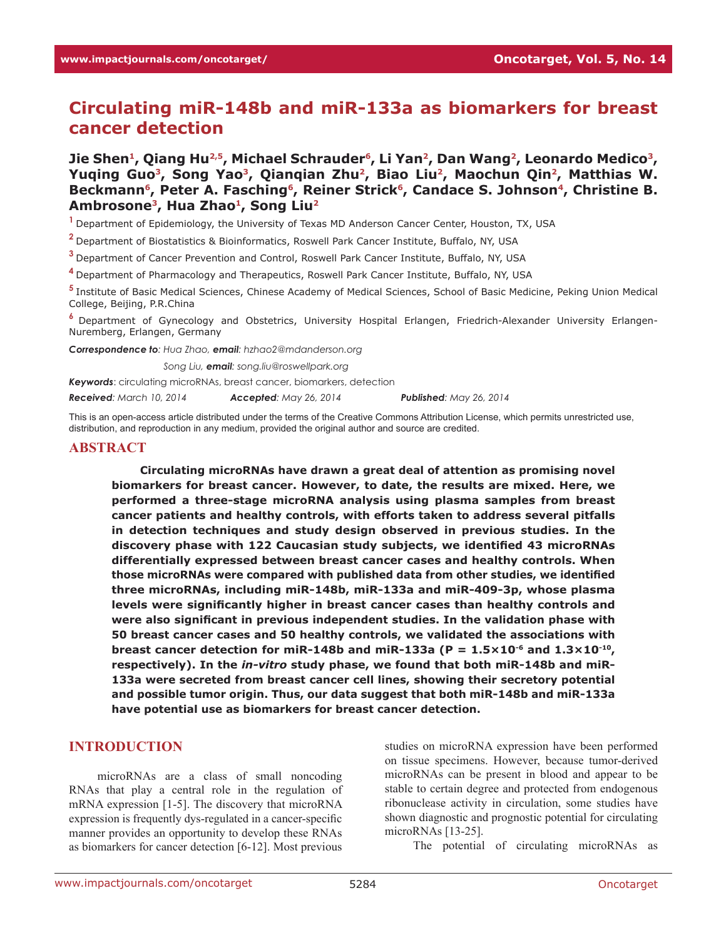# **Circulating miR-148b and miR-133a as biomarkers for breast cancer detection**

Jie Shen<sup>1</sup>, Qiang Hu<sup>2,5</sup>, Michael Schrauder<sup>6</sup>, Li Yan<sup>2</sup>, Dan Wang<sup>2</sup>, Leonardo Medico<sup>3</sup>, Yuqing Guo<sup>3</sup>, Song Yao<sup>3</sup>, Qianqian Zhu<sup>2</sup>, Biao Liu<sup>2</sup>, Maochun Qin<sup>2</sup>, Matthias W. Beckmann<sup>6</sup>, Peter A. Fasching<sup>6</sup>, Reiner Strick<sup>6</sup>, Candace S. Johnson<sup>4</sup>, Christine B. Ambrosone<sup>3</sup>, Hua Zhao<sup>1</sup>, Song Liu<sup>2</sup>

**<sup>1</sup>**Department of Epidemiology, the University of Texas MD Anderson Cancer Center, Houston, TX, USA

**<sup>2</sup>**Department of Biostatistics & Bioinformatics, Roswell Park Cancer Institute, Buffalo, NY, USA

**<sup>3</sup>**Department of Cancer Prevention and Control, Roswell Park Cancer Institute, Buffalo, NY, USA

**<sup>4</sup>**Department of Pharmacology and Therapeutics, Roswell Park Cancer Institute, Buffalo, NY, USA

**<sup>5</sup>**Institute of Basic Medical Sciences, Chinese Academy of Medical Sciences, School of Basic Medicine, Peking Union Medical College, Beijing, P.R.China

**<sup>6</sup>**Department of Gynecology and Obstetrics, University Hospital Erlangen, Friedrich-Alexander University Erlangen-Nuremberg, Erlangen, Germany

*Correspondence to: Hua Zhao, email: hzhao2@mdanderson.org*

*Correspondence to: Song Liu, email: song.liu@roswellpark.org*

*Keywords*: circulating microRNAs, breast cancer, biomarkers, detection

*Received: March 10, 2014 Accepted: May 26, 2014 Published: May 26, 2014*

This is an open-access article distributed under the terms of the Creative Commons Attribution License, which permits unrestricted use, distribution, and reproduction in any medium, provided the original author and source are credited.

#### **ABSTRACT**

**Circulating microRNAs have drawn a great deal of attention as promising novel biomarkers for breast cancer. However, to date, the results are mixed. Here, we performed a three-stage microRNA analysis using plasma samples from breast cancer patients and healthy controls, with efforts taken to address several pitfalls in detection techniques and study design observed in previous studies. In the discovery phase with 122 Caucasian study subjects, we identified 43 microRNAs differentially expressed between breast cancer cases and healthy controls. When those microRNAs were compared with published data from other studies, we identified three microRNAs, including miR-148b, miR-133a and miR-409-3p, whose plasma levels were significantly higher in breast cancer cases than healthy controls and were also significant in previous independent studies. In the validation phase with 50 breast cancer cases and 50 healthy controls, we validated the associations with**  breast cancer detection for miR-148b and miR-133a ( $P = 1.5 \times 10^{-6}$  and  $1.3 \times 10^{-10}$ ) **respectively). In the** *in-vitro* **study phase, we found that both miR-148b and miR-133a were secreted from breast cancer cell lines, showing their secretory potential and possible tumor origin. Thus, our data suggest that both miR-148b and miR-133a have potential use as biomarkers for breast cancer detection.** 

## **INTRODUCTION**

microRNAs are a class of small noncoding RNAs that play a central role in the regulation of mRNA expression [1-5]. The discovery that microRNA expression is frequently dys-regulated in a cancer-specific manner provides an opportunity to develop these RNAs as biomarkers for cancer detection [6-12]. Most previous

studies on microRNA expression have been performed on tissue specimens. However, because tumor-derived microRNAs can be present in blood and appear to be stable to certain degree and protected from endogenous ribonuclease activity in circulation, some studies have shown diagnostic and prognostic potential for circulating microRNAs [13-25].

The potential of circulating microRNAs as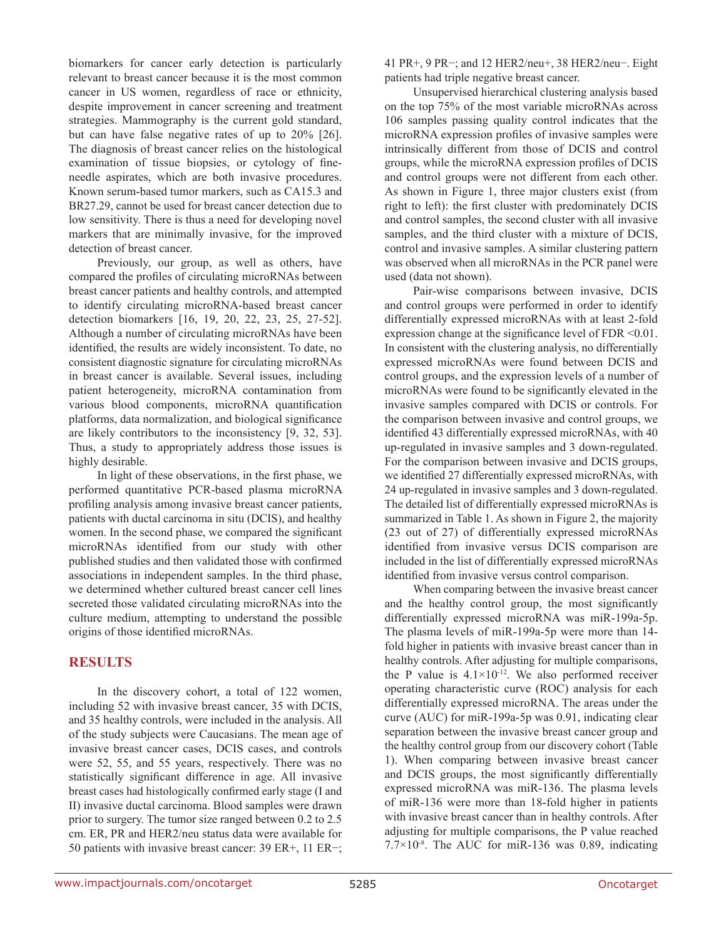biomarkers for cancer early detection is particularly relevant to breast cancer because it is the most common cancer in US women, regardless of race or ethnicity, despite improvement in cancer screening and treatment strategies. Mammography is the current gold standard, but can have false negative rates of up to 20% [26]. The diagnosis of breast cancer relies on the histological examination of tissue biopsies, or cytology of fineneedle aspirates, which are both invasive procedures. Known serum-based tumor markers, such as CA15.3 and BR27.29, cannot be used for breast cancer detection due to low sensitivity. There is thus a need for developing novel markers that are minimally invasive, for the improved detection of breast cancer.

Previously, our group, as well as others, have compared the profiles of circulating microRNAs between breast cancer patients and healthy controls, and attempted to identify circulating microRNA-based breast cancer detection biomarkers [16, 19, 20, 22, 23, 25, 27-52]. Although a number of circulating microRNAs have been identified, the results are widely inconsistent. To date, no consistent diagnostic signature for circulating microRNAs in breast cancer is available. Several issues, including patient heterogeneity, microRNA contamination from various blood components, microRNA quantification platforms, data normalization, and biological significance are likely contributors to the inconsistency [9, 32, 53]. Thus, a study to appropriately address those issues is highly desirable.

In light of these observations, in the first phase, we performed quantitative PCR-based plasma microRNA profiling analysis among invasive breast cancer patients, patients with ductal carcinoma in situ (DCIS), and healthy women. In the second phase, we compared the significant microRNAs identified from our study with other published studies and then validated those with confirmed associations in independent samples. In the third phase, we determined whether cultured breast cancer cell lines secreted those validated circulating microRNAs into the culture medium, attempting to understand the possible origins of those identified microRNAs.

## **RESULTS**

In the discovery cohort, a total of 122 women, including 52 with invasive breast cancer, 35 with DCIS, and 35 healthy controls, were included in the analysis. All of the study subjects were Caucasians. The mean age of invasive breast cancer cases, DCIS cases, and controls were 52, 55, and 55 years, respectively. There was no statistically significant difference in age. All invasive breast cases had histologically confirmed early stage (I and II) invasive ductal carcinoma. Blood samples were drawn prior to surgery. The tumor size ranged between 0.2 to 2.5 cm. ER, PR and HER2/neu status data were available for 50 patients with invasive breast cancer: 39 ER+, 11 ER−; 41 PR+, 9 PR−; and 12 HER2/neu+, 38 HER2/neu−. Eight patients had triple negative breast cancer.

Unsupervised hierarchical clustering analysis based on the top 75% of the most variable microRNAs across 106 samples passing quality control indicates that the microRNA expression profiles of invasive samples were intrinsically different from those of DCIS and control groups, while the microRNA expression profiles of DCIS and control groups were not different from each other. As shown in Figure 1, three major clusters exist (from right to left): the first cluster with predominately DCIS and control samples, the second cluster with all invasive samples, and the third cluster with a mixture of DCIS, control and invasive samples. A similar clustering pattern was observed when all microRNAs in the PCR panel were used (data not shown).

Pair-wise comparisons between invasive, DCIS and control groups were performed in order to identify differentially expressed microRNAs with at least 2-fold expression change at the significance level of FDR <0.01. In consistent with the clustering analysis, no differentially expressed microRNAs were found between DCIS and control groups, and the expression levels of a number of microRNAs were found to be significantly elevated in the invasive samples compared with DCIS or controls. For the comparison between invasive and control groups, we identified 43 differentially expressed microRNAs, with 40 up-regulated in invasive samples and 3 down-regulated. For the comparison between invasive and DCIS groups, we identified 27 differentially expressed microRNAs, with 24 up-regulated in invasive samples and 3 down-regulated. The detailed list of differentially expressed microRNAs is summarized in Table 1. As shown in Figure 2, the majority (23 out of 27) of differentially expressed microRNAs identified from invasive versus DCIS comparison are included in the list of differentially expressed microRNAs identified from invasive versus control comparison.

When comparing between the invasive breast cancer and the healthy control group, the most significantly differentially expressed microRNA was miR-199a-5p. The plasma levels of miR-199a-5p were more than 14 fold higher in patients with invasive breast cancer than in healthy controls. After adjusting for multiple comparisons, the P value is  $4.1 \times 10^{-12}$ . We also performed receiver operating characteristic curve (ROC) analysis for each differentially expressed microRNA. The areas under the curve (AUC) for miR-199a-5p was 0.91, indicating clear separation between the invasive breast cancer group and the healthy control group from our discovery cohort (Table 1). When comparing between invasive breast cancer and DCIS groups, the most significantly differentially expressed microRNA was miR-136. The plasma levels of miR-136 were more than 18-fold higher in patients with invasive breast cancer than in healthy controls. After adjusting for multiple comparisons, the P value reached  $7.7\times10^{-8}$ . The AUC for miR-136 was 0.89, indicating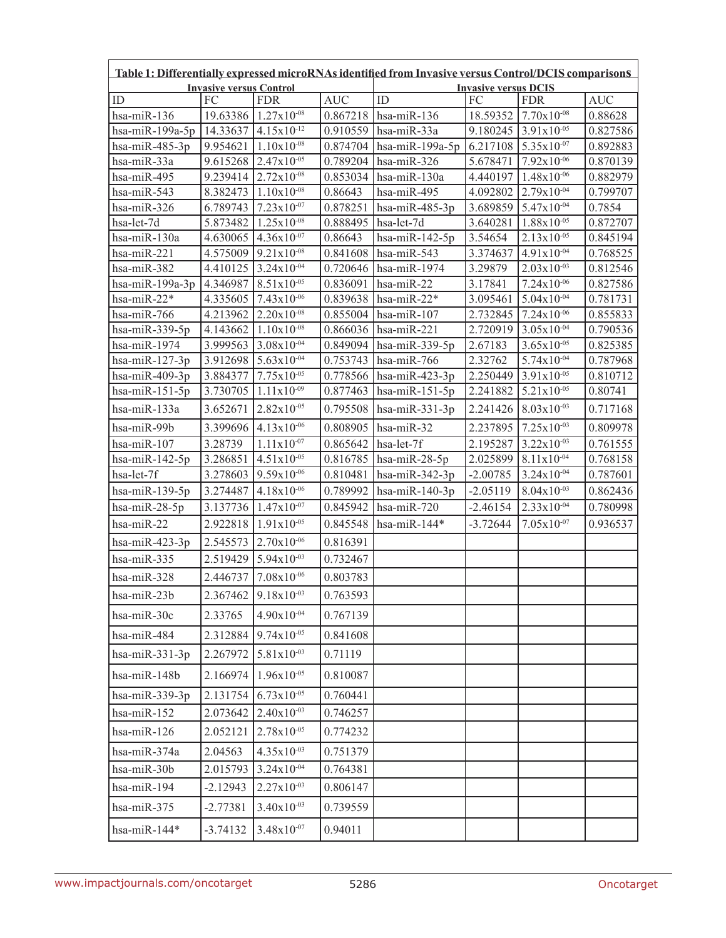| Table 1: Differentially expressed microRNAs identified from Invasive versus Control/DCIS comparisons<br><b>Invasive versus Control</b> |            |                                   |            | <b>Invasive versus DCIS</b> |            |                                   |            |
|----------------------------------------------------------------------------------------------------------------------------------------|------------|-----------------------------------|------------|-----------------------------|------------|-----------------------------------|------------|
| ID                                                                                                                                     | FС         | <b>FDR</b>                        | <b>AUC</b> | ID                          | FC         | <b>FDR</b>                        | <b>AUC</b> |
| hsa-miR-136                                                                                                                            |            | 19.63386 1.27x10 <sup>-08</sup>   | 0.867218   | hsa-miR-136                 |            | 18.59352 7.70x10-08               | 0.88628    |
| hsa-miR-199a-5p                                                                                                                        |            | 14.33637 4.15x10-12               | 0.910559   | hsa-miR-33a                 |            | $9.180245$ 3.91x10 <sup>-05</sup> | 0.827586   |
| hsa-miR-485-3p                                                                                                                         | 9.954621   | $1.10x10^{-08}$                   | 0.874704   | hsa-miR-199a-5p             | 6.217108   | $5.35x10^{-07}$                   | 0.892883   |
| hsa-miR-33a                                                                                                                            |            | $9.615268$ 2.47x10 <sup>-05</sup> | 0.789204   | hsa-miR-326                 | 5.678471   | $7.92x10^{-06}$                   | 0.870139   |
| hsa-miR-495                                                                                                                            |            | $9.239414$ 2.72x10 <sup>-08</sup> | 0.853034   | hsa-miR-130a                | 4.440197   | $1.48x10^{-06}$                   | 0.882979   |
| hsa-miR-543                                                                                                                            | 8.382473   | $1.10x10^{-08}$                   | 0.86643    | hsa-miR-495                 | 4.092802   | $2.79x10^{-04}$                   | 0.799707   |
| hsa-miR-326                                                                                                                            | 6.789743   | $7.23 \times 10^{-07}$            | 0.878251   | hsa-miR-485-3p              | 3.689859   | $5.47x10^{-04}$                   | 0.7854     |
| hsa-let-7d                                                                                                                             | 5.873482   | $1.25x10^{-08}$                   | 0.888495   | hsa-let-7d                  | 3.640281   | $1.88 \times 10^{-05}$            | 0.872707   |
| hsa-miR-130a                                                                                                                           |            | $4.630065$ 4.36x10 <sup>-07</sup> | 0.86643    | hsa-miR-142-5p              | 3.54654    | $2.13x10^{-05}$                   | 0.845194   |
| hsa-miR-221                                                                                                                            |            | $4.575009$ 9.21x10 <sup>-08</sup> | 0.841608   | hsa-miR-543                 | 3.374637   | $4.91x10^{-04}$                   | 0.768525   |
| hsa-miR-382                                                                                                                            | 4.410125   | $3.24x10^{-04}$                   | 0.720646   | hsa-miR-1974                | 3.29879    | $2.03x10^{-03}$                   | 0.812546   |
| hsa-miR-199a-3p                                                                                                                        | 4.346987   | $8.51x10^{-05}$                   | 0.836091   | hsa-miR-22                  | 3.17841    | $7.24x10^{-06}$                   | 0.827586   |
| hsa-miR-22*                                                                                                                            | 4.335605   | $7.43 \times 10^{-06}$            | 0.839638   | hsa-miR-22*                 | 3.095461   | $5.04x10^{-04}$                   | 0.781731   |
| hsa-miR-766                                                                                                                            | 4.213962   | $2.20x10^{-08}$                   | 0.855004   | hsa-miR-107                 | 2.732845   | $7.24x10^{-06}$                   | 0.855833   |
| hsa-miR-339-5p                                                                                                                         | 4.143662   | $1.10x10^{-08}$                   |            | $0.866036$ hsa-miR-221      | 2.720919   | $3.05x10^{-04}$                   | 0.790536   |
| hsa-miR-1974                                                                                                                           | 3.999563   | $3.08x10^{-04}$                   | 0.849094   | hsa-miR-339-5 $p$           | 2.67183    | $3.65x10^{-05}$                   | 0.825385   |
| hsa-mi $R-127-3p$                                                                                                                      | 3.912698   | $5.63 \times 10^{-04}$            | 0.753743   | hsa-miR-766                 | 2.32762    | $5.74x10^{-04}$                   | 0.787968   |
| hsa-miR-409-3p                                                                                                                         | 3.884377   | $7.75x10^{-05}$                   | 0.778566   | hsa-miR-423-3p              | 2.250449   | $3.91x10^{-05}$                   | 0.810712   |
| hsa-mi $R-151-5p$                                                                                                                      | 3.730705   | $1.11x10^{-09}$                   | 0.877463   | hsa-mi $R-151-5p$           | 2.241882   | $5.21x10^{-05}$                   | 0.80741    |
| hsa-miR-133a                                                                                                                           | 3.652671   | $2.82x10^{-05}$                   | 0.795508   | hsa-miR-331-3p              | 2.241426   | $8.03x10^{-03}$                   | 0.717168   |
| hsa-miR-99b                                                                                                                            | 3.399696   | $4.13x10^{-06}$                   | 0.808905   | hsa-miR-32                  | 2.237895   | $7.25 \times 10^{-03}$            | 0.809978   |
| hsa-miR-107                                                                                                                            | 3.28739    | $1.11x10^{-07}$                   | 0.865642   | hsa-let-7f                  | 2.195287   | $3.22x10^{-03}$                   | 0.761555   |
| hsa-miR-142-5p                                                                                                                         | 3.286851   | $4.51x10^{-05}$                   | 0.816785   | hsa-miR-28-5p               | 2.025899   | $8.11x10^{-04}$                   | 0.768158   |
| hsa-let-7f                                                                                                                             | 3.278603   | $9.59x10^{-06}$                   | 0.810481   | hsa-miR-342-3p              | $-2.00785$ | $3.24x10^{-04}$                   | 0.787601   |
| hsa-mi $R-139-5p$                                                                                                                      | 3.274487   | $4.18x10^{-06}$                   | 0.789992   | hsa-mi $R-140-3p$           | $-2.05119$ | $8.04x10^{-03}$                   | 0.862436   |
| $hsa-miR-28-5p$                                                                                                                        | 3.137736   | $1.47x10^{-07}$                   | 0.845942   | hsa-miR-720                 | $-2.46154$ | $2.33x10^{-04}$                   | 0.780998   |
| hsa-miR-22                                                                                                                             | 2.922818   | $1.91x10^{-05}$                   | 0.845548   | hsa-miR-144*                | $-3.72644$ | $7.05x10^{-07}$                   | 0.936537   |
| hsa-miR-423-3p                                                                                                                         | 2.545573   | $2.70x10^{-06}$                   | 0.816391   |                             |            |                                   |            |
| hsa-miR-335                                                                                                                            | 2.519429   | $5.94x10^{-03}$                   | 0.732467   |                             |            |                                   |            |
| hsa-miR-328                                                                                                                            | 2.446737   | $7.08x10^{-06}$                   | 0.803783   |                             |            |                                   |            |
| hsa-miR-23b                                                                                                                            |            | 2.367462 9.18x10-03               | 0.763593   |                             |            |                                   |            |
| hsa-miR-30c                                                                                                                            | 2.33765    | $4.90x10^{-04}$                   | 0.767139   |                             |            |                                   |            |
| hsa-miR-484                                                                                                                            | 2.312884   | $9.74x10^{-05}$                   | 0.841608   |                             |            |                                   |            |
| $hsa-miR-331-3p$                                                                                                                       | 2.267972   | $5.81x10^{-03}$                   | 0.71119    |                             |            |                                   |            |
| hsa-miR-148b                                                                                                                           | 2.166974   | $1.96x10^{-05}$                   | 0.810087   |                             |            |                                   |            |
| hsa-miR-339-3p                                                                                                                         | 2.131754   | $6.73 \times 10^{-05}$            | 0.760441   |                             |            |                                   |            |
| hsa-miR-152                                                                                                                            | 2.073642   | $2.40x10^{-03}$                   | 0.746257   |                             |            |                                   |            |
| hsa-miR-126                                                                                                                            | 2.052121   | $2.78x10^{-05}$                   | 0.774232   |                             |            |                                   |            |
| hsa-miR-374a                                                                                                                           | 2.04563    | $4.35x10^{-03}$                   | 0.751379   |                             |            |                                   |            |
| hsa-miR-30b                                                                                                                            | 2.015793   | $3.24x10^{-04}$                   | 0.764381   |                             |            |                                   |            |
| hsa-miR-194                                                                                                                            | $-2.12943$ | $2.27x10^{-03}$                   | 0.806147   |                             |            |                                   |            |
| hsa-miR-375                                                                                                                            | $-2.77381$ | $3.40x10^{-03}$                   | 0.739559   |                             |            |                                   |            |
| hsa-miR-144*                                                                                                                           | $-3.74132$ | $3.48x10^{-07}$                   | 0.94011    |                             |            |                                   |            |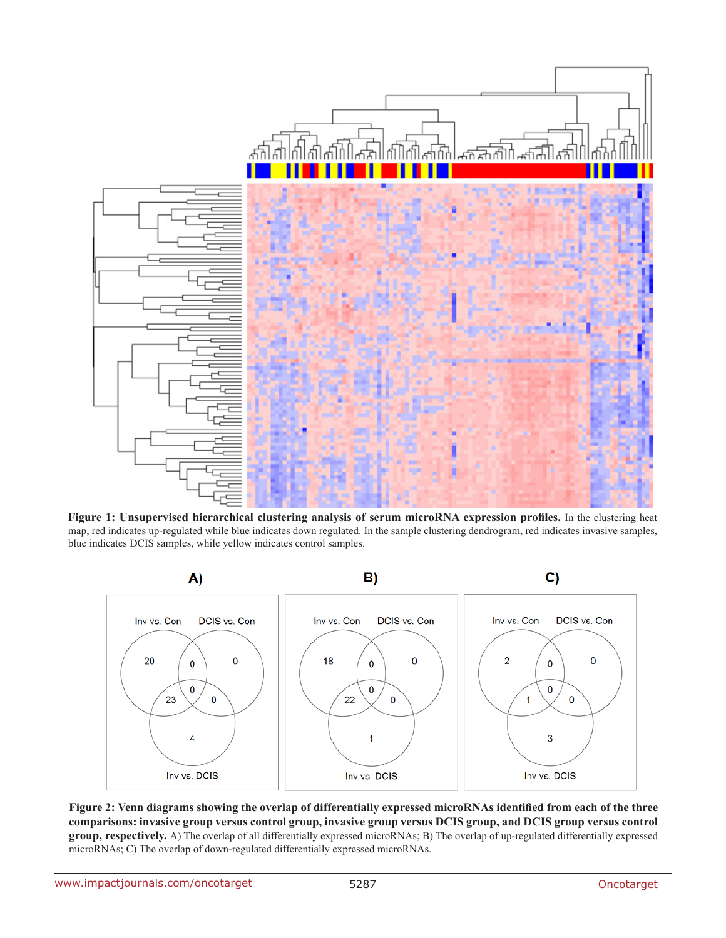

**Figure 1: Unsupervised hierarchical clustering analysis of serum microRNA expression profiles.** In the clustering heat map, red indicates up-regulated while blue indicates down regulated. In the sample clustering dendrogram, red indicates invasive samples, blue indicates DCIS samples, while yellow indicates control samples.



**Figure 2: Venn diagrams showing the overlap of differentially expressed microRNAs identified from each of the three comparisons: invasive group versus control group, invasive group versus DCIS group, and DCIS group versus control group, respectively.** A) The overlap of all differentially expressed microRNAs; B) The overlap of up-regulated differentially expressed microRNAs; C) The overlap of down-regulated differentially expressed microRNAs.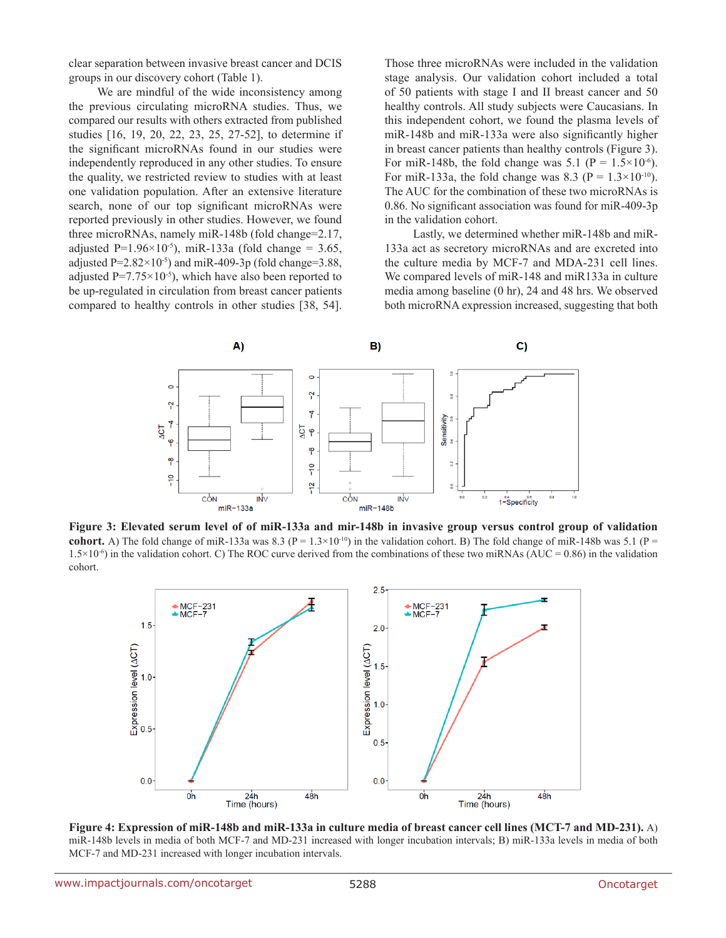clear separation between invasive breast cancer and DCIS groups in our discovery cohort (Table 1).

We are mindful of the wide inconsistency among the previous circulating microRNA studies. Thus, we compared our results with others extracted from published studies [16, 19, 20, 22, 23, 25, 27-52], to determine if the significant microRNAs found in our studies were independently reproduced in any other studies. To ensure the quality, we restricted review to studies with at least one validation population. After an extensive literature search, none of our top significant microRNAs were reported previously in other studies. However, we found three microRNAs, namely miR-148b (fold change=2.17, adjusted P=1.96×10<sup>-5</sup>), miR-133a (fold change = 3.65, adjusted  $P=2.82\times10^{-5}$ ) and miR-409-3p (fold change=3.88, adjusted  $P=7.75\times10^{-5}$ , which have also been reported to be up-regulated in circulation from breast cancer patients compared to healthy controls in other studies [38, 54].

Those three microRNAs were included in the validation stage analysis. Our validation cohort included a total of 50 patients with stage I and II breast cancer and 50 healthy controls. All study subjects were Caucasians. In this independent cohort, we found the plasma levels of miR-148b and miR-133a were also significantly higher in breast cancer patients than healthy controls (Figure 3). For miR-148b, the fold change was  $5.1$  (P =  $1.5 \times 10^{-6}$ ). For miR-133a, the fold change was 8.3 ( $P = 1.3 \times 10^{-10}$ ). The AUC for the combination of these two microRNAs is 0.86. No significant association was found for miR-409-3p in the validation cohort.

Lastly, we determined whether miR-148b and miR-133a act as secretory microRNAs and are excreted into the culture media by MCF-7 and MDA-231 cell lines. We compared levels of miR-148 and miR133a in culture media among baseline (0 hr), 24 and 48 hrs. We observed both microRNA expression increased, suggesting that both



**Figure 3: Elevated serum level of of miR-133a and mir-148b in invasive group versus control group of validation cohort.** A) The fold change of miR-133a was 8.3 ( $P = 1.3 \times 10^{-10}$ ) in the validation cohort. B) The fold change of miR-148b was 5.1 ( $P = 1.3 \times 10^{-10}$ )  $1.5\times10^{-6}$ ) in the validation cohort. C) The ROC curve derived from the combinations of these two miRNAs (AUC = 0.86) in the validation cohort.



**Figure 4: Expression of miR-148b and miR-133a in culture media of breast cancer cell lines (MCT-7 and MD-231).** A) miR-148b levels in media of both MCF-7 and MD-231 increased with longer incubation intervals; B) miR-133a levels in media of both MCF-7 and MD-231 increased with longer incubation intervals.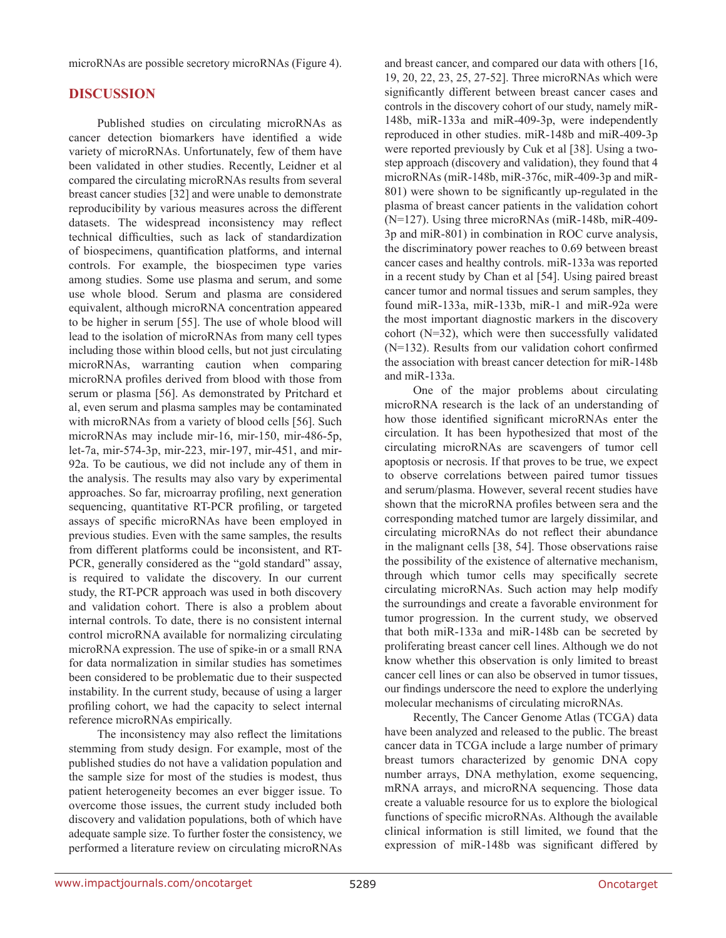microRNAs are possible secretory microRNAs (Figure 4).

## **DISCUSSION**

Published studies on circulating microRNAs as cancer detection biomarkers have identified a wide variety of microRNAs. Unfortunately, few of them have been validated in other studies. Recently, Leidner et al compared the circulating microRNAs results from several breast cancer studies [32] and were unable to demonstrate reproducibility by various measures across the different datasets. The widespread inconsistency may reflect technical difficulties, such as lack of standardization of biospecimens, quantification platforms, and internal controls. For example, the biospecimen type varies among studies. Some use plasma and serum, and some use whole blood. Serum and plasma are considered equivalent, although microRNA concentration appeared to be higher in serum [55]. The use of whole blood will lead to the isolation of microRNAs from many cell types including those within blood cells, but not just circulating microRNAs, warranting caution when comparing microRNA profiles derived from blood with those from serum or plasma [56]. As demonstrated by Pritchard et al, even serum and plasma samples may be contaminated with microRNAs from a variety of blood cells [56]. Such microRNAs may include mir-16, mir-150, mir-486-5p, let-7a, mir-574-3p, mir-223, mir-197, mir-451, and mir-92a. To be cautious, we did not include any of them in the analysis. The results may also vary by experimental approaches. So far, microarray profiling, next generation sequencing, quantitative RT-PCR profiling, or targeted assays of specific microRNAs have been employed in previous studies. Even with the same samples, the results from different platforms could be inconsistent, and RT-PCR, generally considered as the "gold standard" assay, is required to validate the discovery. In our current study, the RT-PCR approach was used in both discovery and validation cohort. There is also a problem about internal controls. To date, there is no consistent internal control microRNA available for normalizing circulating microRNA expression. The use of spike-in or a small RNA for data normalization in similar studies has sometimes been considered to be problematic due to their suspected instability. In the current study, because of using a larger profiling cohort, we had the capacity to select internal reference microRNAs empirically.

The inconsistency may also reflect the limitations stemming from study design. For example, most of the published studies do not have a validation population and the sample size for most of the studies is modest, thus patient heterogeneity becomes an ever bigger issue. To overcome those issues, the current study included both discovery and validation populations, both of which have adequate sample size. To further foster the consistency, we performed a literature review on circulating microRNAs and breast cancer, and compared our data with others [16, 19, 20, 22, 23, 25, 27-52]. Three microRNAs which were significantly different between breast cancer cases and controls in the discovery cohort of our study, namely miR-148b, miR-133a and miR-409-3p, were independently reproduced in other studies. miR-148b and miR-409-3p were reported previously by Cuk et al [38]. Using a twostep approach (discovery and validation), they found that 4 microRNAs (miR-148b, miR-376c, miR-409-3p and miR-801) were shown to be significantly up-regulated in the plasma of breast cancer patients in the validation cohort (N=127). Using three microRNAs (miR-148b, miR-409- 3p and miR-801) in combination in ROC curve analysis, the discriminatory power reaches to 0.69 between breast cancer cases and healthy controls. miR-133a was reported in a recent study by Chan et al [54]. Using paired breast cancer tumor and normal tissues and serum samples, they found miR-133a, miR-133b, miR-1 and miR-92a were the most important diagnostic markers in the discovery cohort (N=32), which were then successfully validated (N=132). Results from our validation cohort confirmed the association with breast cancer detection for miR-148b and miR-133a.

One of the major problems about circulating microRNA research is the lack of an understanding of how those identified significant microRNAs enter the circulation. It has been hypothesized that most of the circulating microRNAs are scavengers of tumor cell apoptosis or necrosis. If that proves to be true, we expect to observe correlations between paired tumor tissues and serum/plasma. However, several recent studies have shown that the microRNA profiles between sera and the corresponding matched tumor are largely dissimilar, and circulating microRNAs do not reflect their abundance in the malignant cells [38, 54]. Those observations raise the possibility of the existence of alternative mechanism, through which tumor cells may specifically secrete circulating microRNAs. Such action may help modify the surroundings and create a favorable environment for tumor progression. In the current study, we observed that both miR-133a and miR-148b can be secreted by proliferating breast cancer cell lines. Although we do not know whether this observation is only limited to breast cancer cell lines or can also be observed in tumor tissues, our findings underscore the need to explore the underlying molecular mechanisms of circulating microRNAs.

Recently, The Cancer Genome Atlas (TCGA) data have been analyzed and released to the public. The breast cancer data in TCGA include a large number of primary breast tumors characterized by genomic DNA copy number arrays, DNA methylation, exome sequencing, mRNA arrays, and microRNA sequencing. Those data create a valuable resource for us to explore the biological functions of specific microRNAs. Although the available clinical information is still limited, we found that the expression of miR-148b was significant differed by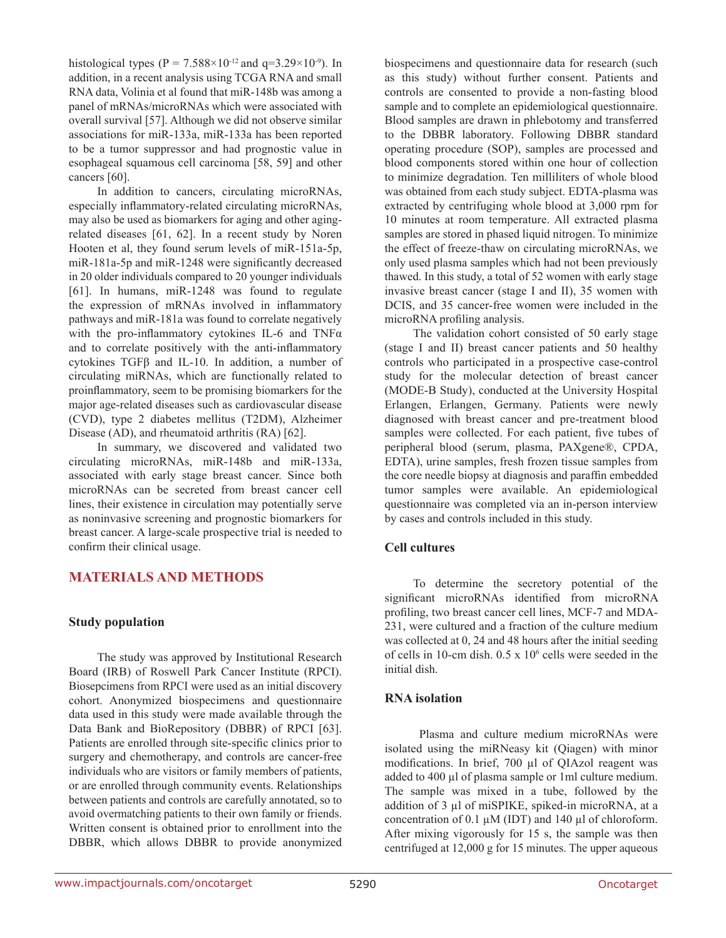histological types (P = 7.588×10<sup>-12</sup> and q=3.29×10<sup>-9</sup>). In addition, in a recent analysis using TCGA RNA and small RNA data, Volinia et al found that miR-148b was among a panel of mRNAs/microRNAs which were associated with overall survival [57]. Although we did not observe similar associations for miR-133a, miR-133a has been reported to be a tumor suppressor and had prognostic value in esophageal squamous cell carcinoma [58, 59] and other cancers [60].

In addition to cancers, circulating microRNAs, especially inflammatory-related circulating microRNAs, may also be used as biomarkers for aging and other agingrelated diseases [61, 62]. In a recent study by Noren Hooten et al, they found serum levels of miR-151a-5p, miR-181a-5p and miR-1248 were significantly decreased in 20 older individuals compared to 20 younger individuals [61]. In humans, miR-1248 was found to regulate the expression of mRNAs involved in inflammatory pathways and miR-181a was found to correlate negatively with the pro-inflammatory cytokines IL-6 and TNFα and to correlate positively with the anti-inflammatory cytokines TGFβ and IL-10. In addition, a number of circulating miRNAs, which are functionally related to proinflammatory, seem to be promising biomarkers for the major age-related diseases such as cardiovascular disease (CVD), type 2 diabetes mellitus (T2DM), Alzheimer Disease (AD), and rheumatoid arthritis (RA) [62].

In summary, we discovered and validated two circulating microRNAs, miR-148b and miR-133a, associated with early stage breast cancer. Since both microRNAs can be secreted from breast cancer cell lines, their existence in circulation may potentially serve as noninvasive screening and prognostic biomarkers for breast cancer. A large-scale prospective trial is needed to confirm their clinical usage.

## **MATERIALS AND METHODS**

#### **Study population**

The study was approved by Institutional Research Board (IRB) of Roswell Park Cancer Institute (RPCI). Biosepcimens from RPCI were used as an initial discovery cohort. Anonymized biospecimens and questionnaire data used in this study were made available through the Data Bank and BioRepository (DBBR) of RPCI [63]. Patients are enrolled through site-specific clinics prior to surgery and chemotherapy, and controls are cancer-free individuals who are visitors or family members of patients, or are enrolled through community events. Relationships between patients and controls are carefully annotated, so to avoid overmatching patients to their own family or friends. Written consent is obtained prior to enrollment into the DBBR, which allows DBBR to provide anonymized biospecimens and questionnaire data for research (such as this study) without further consent. Patients and controls are consented to provide a non-fasting blood sample and to complete an epidemiological questionnaire. Blood samples are drawn in phlebotomy and transferred to the DBBR laboratory. Following DBBR standard operating procedure (SOP), samples are processed and blood components stored within one hour of collection to minimize degradation. Ten milliliters of whole blood was obtained from each study subject. EDTA-plasma was extracted by centrifuging whole blood at 3,000 rpm for 10 minutes at room temperature. All extracted plasma samples are stored in phased liquid nitrogen. To minimize the effect of freeze-thaw on circulating microRNAs, we only used plasma samples which had not been previously thawed. In this study, a total of 52 women with early stage invasive breast cancer (stage I and II), 35 women with DCIS, and 35 cancer-free women were included in the microRNA profiling analysis.

The validation cohort consisted of 50 early stage (stage I and II) breast cancer patients and 50 healthy controls who participated in a prospective case-control study for the molecular detection of breast cancer (MODE-B Study), conducted at the University Hospital Erlangen, Erlangen, Germany. Patients were newly diagnosed with breast cancer and pre-treatment blood samples were collected. For each patient, five tubes of peripheral blood (serum, plasma, PAXgene®, CPDA, EDTA), urine samples, fresh frozen tissue samples from the core needle biopsy at diagnosis and paraffin embedded tumor samples were available. An epidemiological questionnaire was completed via an in-person interview by cases and controls included in this study.

## **Cell cultures**

To determine the secretory potential of the significant microRNAs identified from microRNA profiling, two breast cancer cell lines, MCF-7 and MDA-231, were cultured and a fraction of the culture medium was collected at 0, 24 and 48 hours after the initial seeding of cells in 10-cm dish.  $0.5 \times 10^6$  cells were seeded in the initial dish.

#### **RNA isolation**

 Plasma and culture medium microRNAs were isolated using the miRNeasy kit (Qiagen) with minor modifications. In brief, 700 µl of QIAzol reagent was added to 400 µl of plasma sample or 1ml culture medium. The sample was mixed in a tube, followed by the addition of 3 µl of miSPIKE, spiked-in microRNA, at a concentration of 0.1 µM (IDT) and 140 µl of chloroform. After mixing vigorously for 15 s, the sample was then centrifuged at 12,000 g for 15 minutes. The upper aqueous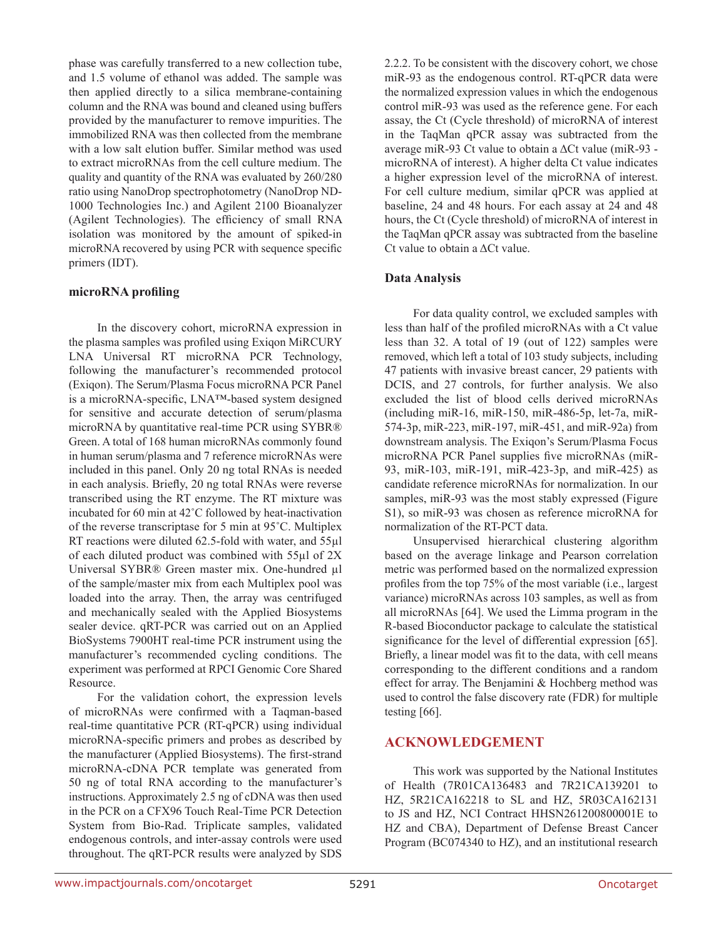phase was carefully transferred to a new collection tube, and 1.5 volume of ethanol was added. The sample was then applied directly to a silica membrane-containing column and the RNA was bound and cleaned using buffers provided by the manufacturer to remove impurities. The immobilized RNA was then collected from the membrane with a low salt elution buffer. Similar method was used to extract microRNAs from the cell culture medium. The quality and quantity of the RNA was evaluated by 260/280 ratio using NanoDrop spectrophotometry (NanoDrop ND-1000 Technologies Inc.) and Agilent 2100 Bioanalyzer (Agilent Technologies). The efficiency of small RNA isolation was monitored by the amount of spiked-in microRNA recovered by using PCR with sequence specific primers (IDT).

#### **microRNA profiling**

In the discovery cohort, microRNA expression in the plasma samples was profiled using Exiqon MiRCURY LNA Universal RT microRNA PCR Technology, following the manufacturer's recommended protocol (Exiqon). The Serum/Plasma Focus microRNA PCR Panel is a microRNA-specific, LNA™-based system designed for sensitive and accurate detection of serum/plasma microRNA by quantitative real-time PCR using SYBR® Green. A total of 168 human microRNAs commonly found in human serum/plasma and 7 reference microRNAs were included in this panel. Only 20 ng total RNAs is needed in each analysis. Briefly, 20 ng total RNAs were reverse transcribed using the RT enzyme. The RT mixture was incubated for 60 min at 42˚C followed by heat-inactivation of the reverse transcriptase for 5 min at 95˚C. Multiplex RT reactions were diluted 62.5-fold with water, and 55µl of each diluted product was combined with 55µl of 2X Universal SYBR® Green master mix. One-hundred µl of the sample/master mix from each Multiplex pool was loaded into the array. Then, the array was centrifuged and mechanically sealed with the Applied Biosystems sealer device. qRT-PCR was carried out on an Applied BioSystems 7900HT real-time PCR instrument using the manufacturer's recommended cycling conditions. The experiment was performed at RPCI Genomic Core Shared Resource.

For the validation cohort, the expression levels of microRNAs were confirmed with a Taqman-based real-time quantitative PCR (RT-qPCR) using individual microRNA-specific primers and probes as described by the manufacturer (Applied Biosystems). The first-strand microRNA-cDNA PCR template was generated from 50 ng of total RNA according to the manufacturer's instructions. Approximately 2.5 ng of cDNA was then used in the PCR on a CFX96 Touch Real-Time PCR Detection System from Bio-Rad. Triplicate samples, validated endogenous controls, and inter-assay controls were used throughout. The qRT-PCR results were analyzed by SDS 2.2.2. To be consistent with the discovery cohort, we chose miR-93 as the endogenous control. RT-qPCR data were the normalized expression values in which the endogenous control miR-93 was used as the reference gene. For each assay, the Ct (Cycle threshold) of microRNA of interest in the TaqMan qPCR assay was subtracted from the average miR-93 Ct value to obtain a ΔCt value (miR-93 microRNA of interest). A higher delta Ct value indicates a higher expression level of the microRNA of interest. For cell culture medium, similar qPCR was applied at baseline, 24 and 48 hours. For each assay at 24 and 48 hours, the Ct (Cycle threshold) of microRNA of interest in the TaqMan qPCR assay was subtracted from the baseline Ct value to obtain a ΔCt value.

## **Data Analysis**

For data quality control, we excluded samples with less than half of the profiled microRNAs with a Ct value less than 32. A total of 19 (out of 122) samples were removed, which left a total of 103 study subjects, including 47 patients with invasive breast cancer, 29 patients with DCIS, and 27 controls, for further analysis. We also excluded the list of blood cells derived microRNAs (including miR-16, miR-150, miR-486-5p, let-7a, miR-574-3p, miR-223, miR-197, miR-451, and miR-92a) from downstream analysis. The Exiqon's Serum/Plasma Focus microRNA PCR Panel supplies five microRNAs (miR-93, miR-103, miR-191, miR-423-3p, and miR-425) as candidate reference microRNAs for normalization. In our samples, miR-93 was the most stably expressed (Figure S1), so miR-93 was chosen as reference microRNA for normalization of the RT-PCT data.

Unsupervised hierarchical clustering algorithm based on the average linkage and Pearson correlation metric was performed based on the normalized expression profiles from the top 75% of the most variable (i.e., largest variance) microRNAs across 103 samples, as well as from all microRNAs [64]. We used the Limma program in the R-based Bioconductor package to calculate the statistical significance for the level of differential expression [65]. Briefly, a linear model was fit to the data, with cell means corresponding to the different conditions and a random effect for array. The Benjamini & Hochberg method was used to control the false discovery rate (FDR) for multiple testing [66].

## **ACKNOWLEDGEMENT**

This work was supported by the National Institutes of Health (7R01CA136483 and 7R21CA139201 to HZ, 5R21CA162218 to SL and HZ, 5R03CA162131 to JS and HZ, NCI Contract HHSN261200800001E to HZ and CBA), Department of Defense Breast Cancer Program (BC074340 to HZ), and an institutional research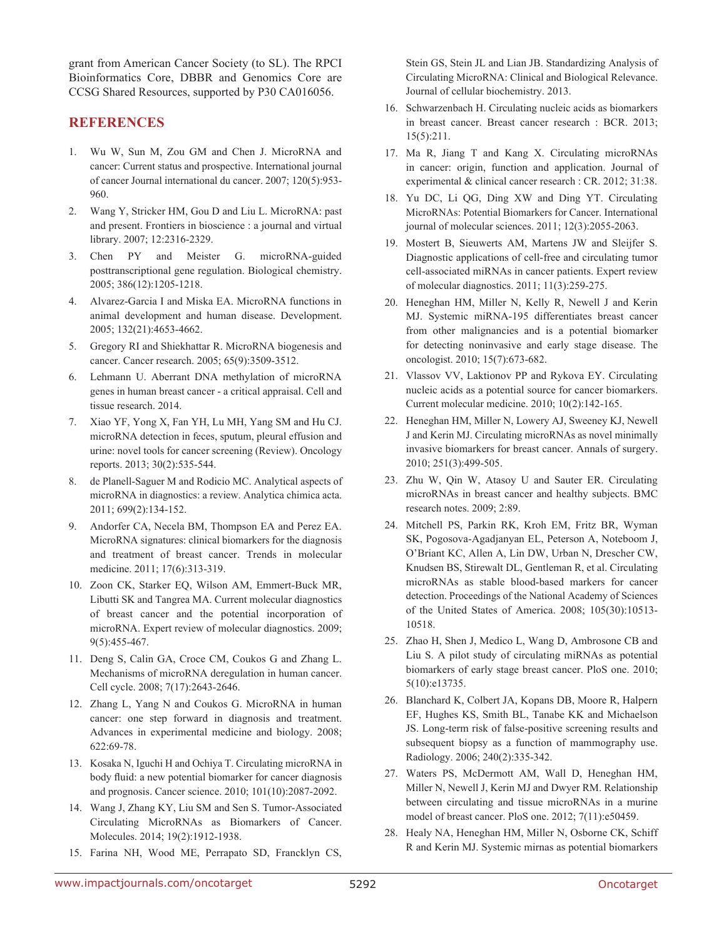grant from American Cancer Society (to SL). The RPCI Bioinformatics Core, DBBR and Genomics Core are CCSG Shared Resources, supported by P30 CA016056.

## **REFERENCES**

- 1. Wu W, Sun M, Zou GM and Chen J. MicroRNA and cancer: Current status and prospective. International journal of cancer Journal international du cancer. 2007; 120(5):953- 960.
- 2. Wang Y, Stricker HM, Gou D and Liu L. MicroRNA: past and present. Frontiers in bioscience : a journal and virtual library. 2007; 12:2316-2329.
- 3. Chen PY and Meister G. microRNA-guided posttranscriptional gene regulation. Biological chemistry. 2005; 386(12):1205-1218.
- 4. Alvarez-Garcia I and Miska EA. MicroRNA functions in animal development and human disease. Development. 2005; 132(21):4653-4662.
- 5. Gregory RI and Shiekhattar R. MicroRNA biogenesis and cancer. Cancer research. 2005; 65(9):3509-3512.
- 6. Lehmann U. Aberrant DNA methylation of microRNA genes in human breast cancer - a critical appraisal. Cell and tissue research. 2014.
- 7. Xiao YF, Yong X, Fan YH, Lu MH, Yang SM and Hu CJ. microRNA detection in feces, sputum, pleural effusion and urine: novel tools for cancer screening (Review). Oncology reports. 2013; 30(2):535-544.
- 8. de Planell-Saguer M and Rodicio MC. Analytical aspects of microRNA in diagnostics: a review. Analytica chimica acta. 2011; 699(2):134-152.
- 9. Andorfer CA, Necela BM, Thompson EA and Perez EA. MicroRNA signatures: clinical biomarkers for the diagnosis and treatment of breast cancer. Trends in molecular medicine. 2011; 17(6):313-319.
- 10. Zoon CK, Starker EQ, Wilson AM, Emmert-Buck MR, Libutti SK and Tangrea MA. Current molecular diagnostics of breast cancer and the potential incorporation of microRNA. Expert review of molecular diagnostics. 2009; 9(5):455-467.
- 11. Deng S, Calin GA, Croce CM, Coukos G and Zhang L. Mechanisms of microRNA deregulation in human cancer. Cell cycle. 2008; 7(17):2643-2646.
- 12. Zhang L, Yang N and Coukos G. MicroRNA in human cancer: one step forward in diagnosis and treatment. Advances in experimental medicine and biology. 2008; 622:69-78.
- 13. Kosaka N, Iguchi H and Ochiya T. Circulating microRNA in body fluid: a new potential biomarker for cancer diagnosis and prognosis. Cancer science. 2010; 101(10):2087-2092.
- 14. Wang J, Zhang KY, Liu SM and Sen S. Tumor-Associated Circulating MicroRNAs as Biomarkers of Cancer. Molecules. 2014; 19(2):1912-1938.
- 15. Farina NH, Wood ME, Perrapato SD, Francklyn CS,

Stein GS, Stein JL and Lian JB. Standardizing Analysis of Circulating MicroRNA: Clinical and Biological Relevance. Journal of cellular biochemistry. 2013.

- 16. Schwarzenbach H. Circulating nucleic acids as biomarkers in breast cancer. Breast cancer research : BCR. 2013; 15(5):211.
- 17. Ma R, Jiang T and Kang X. Circulating microRNAs in cancer: origin, function and application. Journal of experimental & clinical cancer research : CR. 2012; 31:38.
- 18. Yu DC, Li QG, Ding XW and Ding YT. Circulating MicroRNAs: Potential Biomarkers for Cancer. International journal of molecular sciences. 2011; 12(3):2055-2063.
- 19. Mostert B, Sieuwerts AM, Martens JW and Sleijfer S. Diagnostic applications of cell-free and circulating tumor cell-associated miRNAs in cancer patients. Expert review of molecular diagnostics. 2011; 11(3):259-275.
- 20. Heneghan HM, Miller N, Kelly R, Newell J and Kerin MJ. Systemic miRNA-195 differentiates breast cancer from other malignancies and is a potential biomarker for detecting noninvasive and early stage disease. The oncologist. 2010; 15(7):673-682.
- 21. Vlassov VV, Laktionov PP and Rykova EY. Circulating nucleic acids as a potential source for cancer biomarkers. Current molecular medicine. 2010; 10(2):142-165.
- 22. Heneghan HM, Miller N, Lowery AJ, Sweeney KJ, Newell J and Kerin MJ. Circulating microRNAs as novel minimally invasive biomarkers for breast cancer. Annals of surgery. 2010; 251(3):499-505.
- 23. Zhu W, Qin W, Atasoy U and Sauter ER. Circulating microRNAs in breast cancer and healthy subjects. BMC research notes. 2009; 2:89.
- 24. Mitchell PS, Parkin RK, Kroh EM, Fritz BR, Wyman SK, Pogosova-Agadjanyan EL, Peterson A, Noteboom J, O'Briant KC, Allen A, Lin DW, Urban N, Drescher CW, Knudsen BS, Stirewalt DL, Gentleman R, et al. Circulating microRNAs as stable blood-based markers for cancer detection. Proceedings of the National Academy of Sciences of the United States of America. 2008; 105(30):10513- 10518.
- 25. Zhao H, Shen J, Medico L, Wang D, Ambrosone CB and Liu S. A pilot study of circulating miRNAs as potential biomarkers of early stage breast cancer. PloS one. 2010; 5(10):e13735.
- 26. Blanchard K, Colbert JA, Kopans DB, Moore R, Halpern EF, Hughes KS, Smith BL, Tanabe KK and Michaelson JS. Long-term risk of false-positive screening results and subsequent biopsy as a function of mammography use. Radiology. 2006; 240(2):335-342.
- 27. Waters PS, McDermott AM, Wall D, Heneghan HM, Miller N, Newell J, Kerin MJ and Dwyer RM. Relationship between circulating and tissue microRNAs in a murine model of breast cancer. PloS one. 2012; 7(11):e50459.
- 28. Healy NA, Heneghan HM, Miller N, Osborne CK, Schiff R and Kerin MJ. Systemic mirnas as potential biomarkers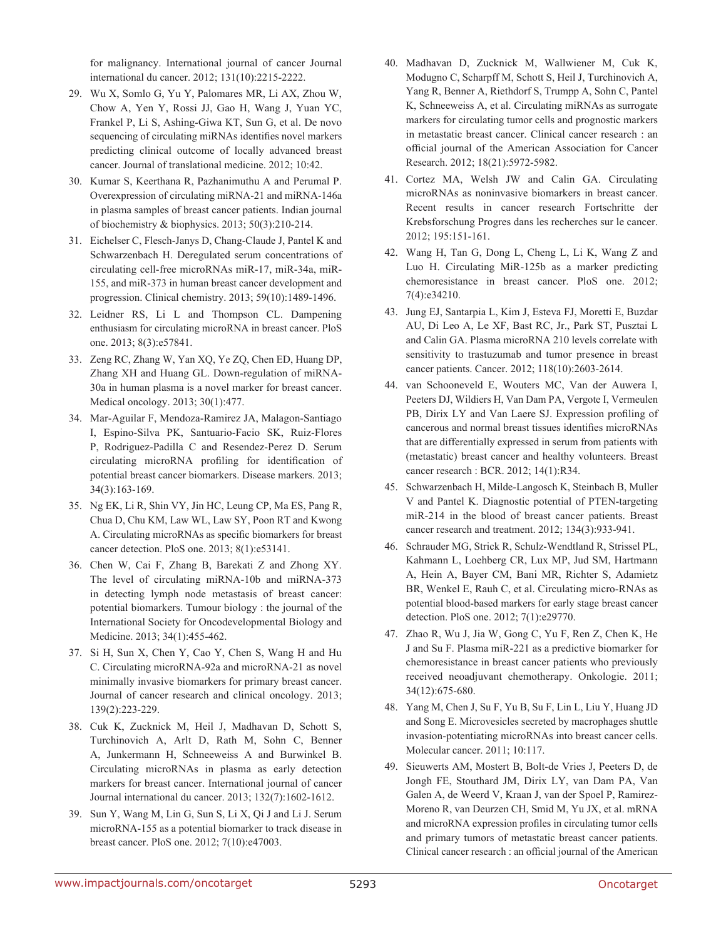for malignancy. International journal of cancer Journal international du cancer. 2012; 131(10):2215-2222.

- 29. Wu X, Somlo G, Yu Y, Palomares MR, Li AX, Zhou W, Chow A, Yen Y, Rossi JJ, Gao H, Wang J, Yuan YC, Frankel P, Li S, Ashing-Giwa KT, Sun G, et al. De novo sequencing of circulating miRNAs identifies novel markers predicting clinical outcome of locally advanced breast cancer. Journal of translational medicine. 2012; 10:42.
- 30. Kumar S, Keerthana R, Pazhanimuthu A and Perumal P. Overexpression of circulating miRNA-21 and miRNA-146a in plasma samples of breast cancer patients. Indian journal of biochemistry & biophysics. 2013; 50(3):210-214.
- 31. Eichelser C, Flesch-Janys D, Chang-Claude J, Pantel K and Schwarzenbach H. Deregulated serum concentrations of circulating cell-free microRNAs miR-17, miR-34a, miR-155, and miR-373 in human breast cancer development and progression. Clinical chemistry. 2013; 59(10):1489-1496.
- 32. Leidner RS, Li L and Thompson CL. Dampening enthusiasm for circulating microRNA in breast cancer. PloS one. 2013; 8(3):e57841.
- 33. Zeng RC, Zhang W, Yan XQ, Ye ZQ, Chen ED, Huang DP, Zhang XH and Huang GL. Down-regulation of miRNA-30a in human plasma is a novel marker for breast cancer. Medical oncology. 2013; 30(1):477.
- 34. Mar-Aguilar F, Mendoza-Ramirez JA, Malagon-Santiago I, Espino-Silva PK, Santuario-Facio SK, Ruiz-Flores P, Rodriguez-Padilla C and Resendez-Perez D. Serum circulating microRNA profiling for identification of potential breast cancer biomarkers. Disease markers. 2013; 34(3):163-169.
- 35. Ng EK, Li R, Shin VY, Jin HC, Leung CP, Ma ES, Pang R, Chua D, Chu KM, Law WL, Law SY, Poon RT and Kwong A. Circulating microRNAs as specific biomarkers for breast cancer detection. PloS one. 2013; 8(1):e53141.
- 36. Chen W, Cai F, Zhang B, Barekati Z and Zhong XY. The level of circulating miRNA-10b and miRNA-373 in detecting lymph node metastasis of breast cancer: potential biomarkers. Tumour biology : the journal of the International Society for Oncodevelopmental Biology and Medicine. 2013; 34(1):455-462.
- 37. Si H, Sun X, Chen Y, Cao Y, Chen S, Wang H and Hu C. Circulating microRNA-92a and microRNA-21 as novel minimally invasive biomarkers for primary breast cancer. Journal of cancer research and clinical oncology. 2013; 139(2):223-229.
- 38. Cuk K, Zucknick M, Heil J, Madhavan D, Schott S, Turchinovich A, Arlt D, Rath M, Sohn C, Benner A, Junkermann H, Schneeweiss A and Burwinkel B. Circulating microRNAs in plasma as early detection markers for breast cancer. International journal of cancer Journal international du cancer. 2013; 132(7):1602-1612.
- 39. Sun Y, Wang M, Lin G, Sun S, Li X, Qi J and Li J. Serum microRNA-155 as a potential biomarker to track disease in breast cancer. PloS one. 2012; 7(10):e47003.
- 40. Madhavan D, Zucknick M, Wallwiener M, Cuk K, Modugno C, Scharpff M, Schott S, Heil J, Turchinovich A, Yang R, Benner A, Riethdorf S, Trumpp A, Sohn C, Pantel K, Schneeweiss A, et al. Circulating miRNAs as surrogate markers for circulating tumor cells and prognostic markers in metastatic breast cancer. Clinical cancer research : an official journal of the American Association for Cancer Research. 2012; 18(21):5972-5982.
- 41. Cortez MA, Welsh JW and Calin GA. Circulating microRNAs as noninvasive biomarkers in breast cancer. Recent results in cancer research Fortschritte der Krebsforschung Progres dans les recherches sur le cancer. 2012; 195:151-161.
- 42. Wang H, Tan G, Dong L, Cheng L, Li K, Wang Z and Luo H. Circulating MiR-125b as a marker predicting chemoresistance in breast cancer. PloS one. 2012; 7(4):e34210.
- 43. Jung EJ, Santarpia L, Kim J, Esteva FJ, Moretti E, Buzdar AU, Di Leo A, Le XF, Bast RC, Jr., Park ST, Pusztai L and Calin GA. Plasma microRNA 210 levels correlate with sensitivity to trastuzumab and tumor presence in breast cancer patients. Cancer. 2012; 118(10):2603-2614.
- 44. van Schooneveld E, Wouters MC, Van der Auwera I, Peeters DJ, Wildiers H, Van Dam PA, Vergote I, Vermeulen PB, Dirix LY and Van Laere SJ. Expression profiling of cancerous and normal breast tissues identifies microRNAs that are differentially expressed in serum from patients with (metastatic) breast cancer and healthy volunteers. Breast cancer research : BCR. 2012; 14(1):R34.
- 45. Schwarzenbach H, Milde-Langosch K, Steinbach B, Muller V and Pantel K. Diagnostic potential of PTEN-targeting miR-214 in the blood of breast cancer patients. Breast cancer research and treatment. 2012; 134(3):933-941.
- 46. Schrauder MG, Strick R, Schulz-Wendtland R, Strissel PL, Kahmann L, Loehberg CR, Lux MP, Jud SM, Hartmann A, Hein A, Bayer CM, Bani MR, Richter S, Adamietz BR, Wenkel E, Rauh C, et al. Circulating micro-RNAs as potential blood-based markers for early stage breast cancer detection. PloS one. 2012; 7(1):e29770.
- 47. Zhao R, Wu J, Jia W, Gong C, Yu F, Ren Z, Chen K, He J and Su F. Plasma miR-221 as a predictive biomarker for chemoresistance in breast cancer patients who previously received neoadjuvant chemotherapy. Onkologie. 2011; 34(12):675-680.
- 48. Yang M, Chen J, Su F, Yu B, Su F, Lin L, Liu Y, Huang JD and Song E. Microvesicles secreted by macrophages shuttle invasion-potentiating microRNAs into breast cancer cells. Molecular cancer. 2011; 10:117.
- 49. Sieuwerts AM, Mostert B, Bolt-de Vries J, Peeters D, de Jongh FE, Stouthard JM, Dirix LY, van Dam PA, Van Galen A, de Weerd V, Kraan J, van der Spoel P, Ramirez-Moreno R, van Deurzen CH, Smid M, Yu JX, et al. mRNA and microRNA expression profiles in circulating tumor cells and primary tumors of metastatic breast cancer patients. Clinical cancer research : an official journal of the American